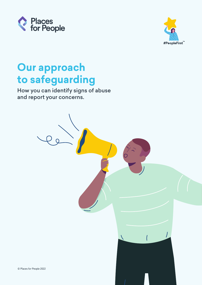



# **Our approach to safeguarding**

How you can identify signs of abuse and report your concerns.

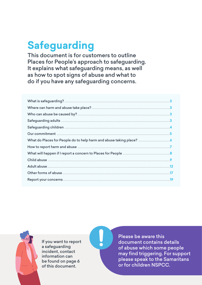# **Safeguarding**

This document is for customers to outline Places for People's approach to safeguarding. It explains what safeguarding means, as well as how to spot signs of abuse and what to do if you have any safeguarding concerns.



If you want to report a safeguarding incident, contact information can be found on page 6 of this document.

Please be aware this document contains details of abuse which some people may find triggering. For support please speak to the Samaritans or for children NSPCC.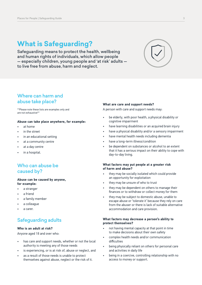# <span id="page-2-0"></span>**What is Safeguarding?**

Safeguarding means to protect the health, wellbeing and human rights of individuals, which allow people — especially children, young people and 'at risk' adults to live free from abuse, harm and neglect.



## Where can harm and abuse take place?

\*\*Please note these lists are examples only and are not exhaustive\*\*

#### **Abuse can take place anywhere, for example:**

- at home
- in the street
- in an educational setting
- at a community centre
- at a day centre
- in a hospital.

## Who can abuse be caused by?

#### **Abuse can be caused by anyone, for example:**

- a stranger
- a friend
- a family member
- a colleague
- a carer.

## Safeguarding adults

#### **Who is an adult at risk?**

Anyone aged 18 and over who:

- has care and support needs, whether or not the local authority is meeting any of those needs
- is experiencing, or is at risk of, abuse or neglect, and
- as a result of those needs is unable to protect themselves against abuse, neglect or the risk of it.

#### **What are care and support needs?**

A person with care and support needs may:

- be elderly, with poor health, a physical disability or cognitive impairment
- have learning disabilities or an acquired brain injury
- have a physical disability and/or a sensory impairment
- have mental health needs including dementia
- have a long-term illness/condition
- be dependent on substances or alcohol to an extent that it has a serious impact on their ability to cope with day-to-day living.

#### **What factors may put people at a greater risk of harm and abuse?**

- they may be socially isolated which could provide an opportunity for exploitation
- they may be unsure of who to trust
- they may be dependent on others to manage their finances or to withdraw or collect money for them
- they may be subject to domestic abuse, unable to escape abuse or 'tolerate it' because they rely on care from the abuser or there is lack of suitable alternative accommodation and care provision.

#### **What factors may decrease a person's ability to protect themselves?**

- not having mental capacity at that point in time to make decisions about their own safety
- complex health needs and/or communication difficulties
- being physically reliant on others for personal care and activities in daily life
- being in a coercive, controlling relationship with no access to money or support.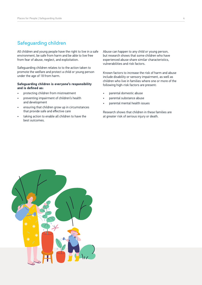## <span id="page-3-0"></span>Safeguarding children

All children and young people have the right to live in a safe environment, be safe from harm and be able to live free from fear of abuse, neglect, and exploitation.

Safeguarding children relates to to the action taken to promote the welfare and protect a child or young person under the age of 18 from harm.

#### **Safeguarding children is everyone's responsibility and is defined as:**

- protecting children from mistreatment
- preventing impairment of children's health and development
- ensuring that children grow up in circumstances that provide safe and effective care
- taking action to enable all children to have the best outcomes.

Abuse can happen to any child or young person, but research shows that some children who have experienced abuse share similar characteristics, vulnerabilities and risk factors.

Known factors to increase the risk of harm and abuse include disability or sensory impairment, as well as children who live in families where one or more of the following high-risk factors are present:

- parental domestic abuse
- parental substance abuse
- parental mental health issues

Research shows that children in these families are at greater risk of serious injury or death.

![](_page_3_Picture_15.jpeg)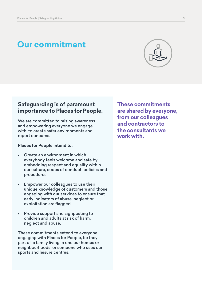# <span id="page-4-0"></span>**Our commitment**

![](_page_4_Picture_2.jpeg)

## **Safeguarding is of paramount importance to Places for People.**

We are committed to raising awareness and empowering everyone we engage with, to create safer environments and report concerns.

#### **Places for People intend to:**

- Create an environment in which everybody feels welcome and safe by embedding respect and equality within our culture, codes of conduct, policies and procedures
- Empower our colleagues to use their unique knowledge of customers and those engaging with our services to ensure that early indicators of abuse, neglect or exploitation are flagged
- Provide support and signposting to children and adults at risk of harm, neglect and abuse.

These commitments extend to everyone engaging with Places for People, be they part of a family living in one our homes or neighbourhoods, or someone who uses our sports and leisure centres.

**These commitments are shared by everyone, from our colleagues and contractors to the consultants we work with.**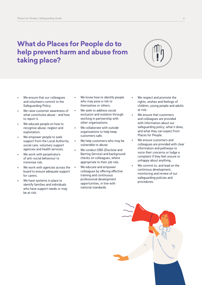# <span id="page-5-0"></span>**What do Places for People do to help prevent harm and abuse from taking place?**

![](_page_5_Picture_2.jpeg)

- We ensure that our colleagues and volunteers commit to the Safeguarding Policy.
- We raise customer awareness of what constitutes abuse - and how to report it.
- We educate people on how to recognise abuse, neglect and exploitation.
- We empower people to seek support from the Local Authority, social care, voluntary support agencies and health services.
- We work with perpetrators of anti-social behaviour to minimise risk.
- We work with agencies across the board to ensure adequate support for carers.
- We have systems in place to identify families and individuals who have support needs or may be at risk.
- We know how to identify people who may pose a risk to themselves or others.
- We seek to address social exclusion and isolation through working in partnership with other organisations.
- We collaborate with outside organisations to help keep customers safe.
- We help customers who may be vulnerable to abuse.
- We conduct DBS (Disclose and Barring Service) and background checks on colleagues, where appropriate to their job role.
- We educate and empower colleagues by offering effective training and continuous professional development opportunities, in line with national standards.
- We respect and promote the rights, wishes and feelings of children, young people and adults at risk.
- We ensure that customers and colleagues are provided with information about our safeguarding policy, what it does, and what they can expect from Places for People.
- We ensure customers and colleagues are provided with clear information and pathways to voice their concerns or lodge a complaint if they feel unsure or unhappy about anything.
- We commit to, and lead on the continious development, monitoring and review of our safeguarding policies and procedures.

![](_page_5_Picture_20.jpeg)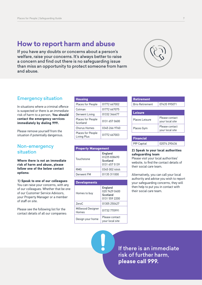## <span id="page-6-0"></span>**How to report harm and abuse**

If you have any doubts or concerns about a person's welfare, raise your concerns. It's always better to raise a concern and find out there is no safeguarding issue than miss an opportunity to protect someone from harm and abuse.

![](_page_6_Picture_3.jpeg)

## Emergency situation

In situations where a criminal offence is suspected or there is an immediate risk of harm to a person, **You should contact the emergency services immediately by dialing 999.**

Please remove yourself from the situation if potentially dangerous.

## Non-emergency situation

**Where there is not an immediate risk of harm and abuse, please follow one of the below contact options:** 

**1) Speak to one of our colleagues** You can raise your concerns, with any of our colleagues. Whether that be one of our Customer Service Advisors, your Property Manager or a member of staff on site.

Please see the following list for the contact details of all our companies:

| <b>Housing</b>                          |               |
|-----------------------------------------|---------------|
| Places for People                       | 01772 667002  |
| Cotman                                  | 01772 667075  |
| Derwent Living                          | 01332 346477  |
| <b>Places for People</b><br>Scotland    | 0131 657 0600 |
| <b>Chorus Homes</b>                     | 0345 266 9760 |
| <b>Places for People</b><br>Living Plus | 01772 667003  |

| <b>Property Management</b> |                                                      |  |
|----------------------------|------------------------------------------------------|--|
| Touchstone                 | England<br>01225 838490<br>Scotland<br>0131 657 5139 |  |
| <b>RMG</b>                 | 0345 002 4444                                        |  |
| Derwent FM                 | 01135 311000                                         |  |

| <b>Developments</b>        |                                                       |
|----------------------------|-------------------------------------------------------|
| Homes to buy               | England<br>020 7429 0400<br>Scotland<br>0131 559 2200 |
| ZeroC                      | 01305 250427                                          |
| Millwood Designer<br>Homes | 01732 770991                                          |
| Design your home           | Please contact<br>your local site                     |

| <b>Retirement</b>      |                                   |
|------------------------|-----------------------------------|
| <b>Brio Retirement</b> | 07435 995071                      |
|                        |                                   |
| <b>Leisure</b>         |                                   |
| Places Leisure         | Please contact<br>your local site |
| Places Gym             | Please contact<br>your local site |
|                        |                                   |
| <b>Financial</b>       |                                   |
| <b>PfP Capital</b>     | 02074 290436                      |

#### **2) Speak to your local authorities safeguarding team**

Please visit your local authorities' website, to find the contact details of their social care team.

Alternatively, you can call your local authority and advise you wish to report your safeguarding concerns, they will then help to put you in contact with their social care team.

If there is an immediate risk of further harm, **please call 999.**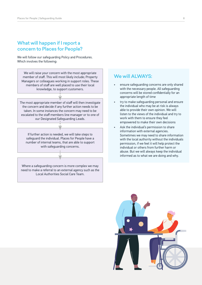## <span id="page-7-0"></span>What will happen if I report a concern to Places for People?

We will follow our safeguarding Policy and Procedures. Which involves the following:

We will raise your concern with the most appropriate member of staff. This will most likely include; Property Managers or colleagues working in support roles. These members of staff are well placed to use their local knowledge, to support customers.

The most appropriate member of staff will then investigate the concern and decide if any further action needs to be taken. In some instances the concern may need to be escalated to the staff members line manager or to one of our Designated Safeguarding Leads.

If further action is needed, we will take steps to safeguard the individual. Places for People have a number of internal teams, that are able to support with safeguarding concerns.

Where a safeguarding concern is more complex we may need to make a referral to an external agency such as the Local Authorities Social Care Team.

## We will ALWAYS:

- ensure safeguarding concerns are only shared with the necessary people. All safeguarding concerns will be stored confidentially for an appropriate length of time
- try to make safeguarding personal and ensure the individual who may be at risk is always able to provide their own opinion. We will listen to the views of the individual and try to work with them to ensure they feel empowered to make their own decisions
- Ask the individual's permission to share information with external agencies. Sometimes we may need to share information with the local authority without the individuals permission, if we feel it will help protect the individual or others from further harm or abuse. But we will always keep the individual informed as to what we are doing and why.

![](_page_7_Picture_11.jpeg)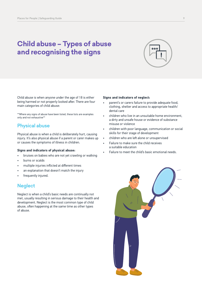# <span id="page-8-0"></span>**Child abuse – Types of abuse and recognising the signs**

![](_page_8_Picture_2.jpeg)

Child abuse is when anyone under the age of 18 is either being harmed or not properly looked after. There are four main categories of child abuse:

\*\*Where any signs of abuse have been listed, these lists are examples only and not exhaustive\*\*

## Physical abuse

Physical abuse is when a child is deliberately hurt, causing injury. It's also physical abuse if a parent or carer makes up or causes the symptoms of illness in children.

#### **Signs and indicators of physical abuse:**

- bruises on babies who are not yet crawling or walking
- burns or scalds
- multiple injuries inflicted at different times
- an explanation that doesn't match the injury
- frequently injured.

## **Neglect**

Neglect is when a child's basic needs are continually not met, usually resulting in serious damage to their health and development. Neglect is the most common type of child abuse, often happening at the same time as other types of abuse.

#### **Signs and indicators of neglect:**

- parent's or carers failure to provide adequate food, clothing, shelter and access to appropriate health/ dental care
- children who live in an unsuitable home environment, a dirty and unsafe house or evidence of substance misuse or violence
- children with poor language, communication or social skills for their stage of development
- children who are left alone or unsupervised
- Failure to make sure the child receives a suitable education
- Failure to meet the child's basic emotional needs.

![](_page_8_Picture_22.jpeg)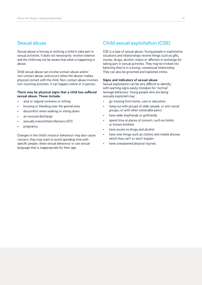## Sexual abuse

Sexual abuse is forcing or enticing a child to take part in sexual activities. It does not necessarily involve violence and the child may not be aware that what is happening is abuse.

Child sexual abuse can involve contact abuse and/or non-contact abuse, and occurs when the abuser makes physical contact with the child. Non-contact abuse involves non-touching activities. It can happen online or in person.

#### **There may be physical signs that a child has suffered sexual abuse. These include:**

- anal or vaginal soreness or itching
- bruising or bleeding near the genital area
- discomfort when walking or sitting down
- an unusual discharge
- sexually transmitted infections (STI)
- pregnancy.

Changes in the child's mood or behaviour may also cause concern; they may want to avoid spending time with specific people, show sexual behaviour or use sexual language that is inappropriate for their age.

## Child sexual exploitation (CSE)

CSE is a type of sexual abuse. Young people in exploitative situations and relationships receive things such as gifts, money, drugs, alcohol, status or affection in exchange for taking part in sexual activities. They may be tricked into believing they're in a loving, consensual relationship. They can also be groomed and exploited online.

#### **Signs and indicators of sexual abuse**

Sexual exploitation can be very difficult to identify, with warning signs easily mistaken for 'normal' teenage behaviour. Young people who are being sexually exploited may:

- go missing from home, care or education
- hang out with groups of older people, or anti-social groups, or with other vulnerable peers
- have older boyfriends or girlfriends
- spend time at places of concern, such as hotels or known brothels
- have access to drugs and alcohol
- have new things such as clothes and mobile phones which they can't or won't explain
- have unexplained physical injuries.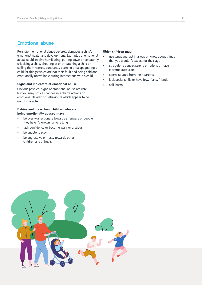## Emotional abuse

Persistent emotional abuse severely damages a child's emotional health and development. Examples of emotional abuse could involve humiliating, putting down or constantly criticising a child, shouting at or threatening a child or calling them names, constantly blaming or scapegoating a child for things which are not their fault and being cold and emotionally unavailable during interactions with a child.

#### **Signs and indicators of emotional abuse**

Obvious physical signs of emotional abuse are rare, but you may notice changes in a child's actions or emotions. Be alert to behaviours which appear to be out of character.

#### **Babies and pre-school children who are being emotionally abused may:**

- be overly-affectionate towards strangers or people they haven't known for very long
- lack confidence or become wary or anxious
- be unable to play
- be aggressive or nasty towards other children and animals.

#### **Older children may:**

- use language, act in a way or know about things that you wouldn't expect for their age
- struggle to control strong emotions or have extreme outbursts
- seem isolated from their parents
- lack social skills or have few, if any, friends
- self-harm.

![](_page_10_Picture_16.jpeg)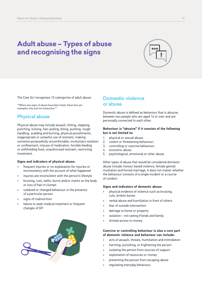# <span id="page-11-0"></span>**Adult abuse – Types of abuse and recognising the signs**

![](_page_11_Picture_2.jpeg)

The Care Act recognises 10 catergories of adult abuse:

\*\*Where any signs of abuse have been listed, these lists are examples only and not exhaustive.\*

## Physical abuse

Physical abuse may include assault, hitting, slapping, punching, kicking, hair-pulling, biting, pushing, rough handling, scalding and burning, physical punishments, inappropriate or unlawful use of restraint, making someone purposefully uncomfortable, involuntary isolation or confinement, misuse of medication, forcible feeding or withholding food, unauthorised restraint, restricting movement.

#### **Signs and indicators of physical abuse:**

- frequent injuries or no explanation for injuries or inconsistency with the account of what happened
- injuries are inconsistent with the person's lifestyle
- bruising, cuts, welts, burns and/or marks on the body or loss of hair in clumps
- subdued or changed behaviour in the presence of a particular person
- signs of malnutrition
- failure to seek medical treatment or frequent changes of GP.

![](_page_11_Picture_14.jpeg)

## Domestic violence or abuse

Domestic abuse is defined as behaviour that is abusive, between two people who are aged 16 or over and are personally connected to each other.

#### **Behaviour is "abusive" if it consists of the following but is not limited to:**

- 1. physical or sexual abuse;
- 2. violent or threatening behaviour;
- 3. controlling or coercive behaviour;
- 4. economic abuse
- 5. psychological, emotional or other abuse

Other types of abuse that would be considered domestic abuse include; honour based violence, female genital mutilation and forced marriage. It does not matter whether the behaviour consists of a single incident or a course of conduct.

#### **Signs and indicators of domestic abuse:**

- physical evidence of violence such as bruising, cuts, broken bones
- verbal abuse and humiliation in front of others
- fear of outside intervention
- damage to home or property
- isolation not seeing friends and family
- limited access to money.

#### **Coercive or controlling behaviour is also a core part of domestic violence and behaviour can include:**

- acts of assault, threats, humiliation and intimidation
- harming, punishing, or frightening the person
- isolating the person from sources of support
- exploitation of resources or money
- preventing the person from escaping abuse
- regulating everyday behaviour.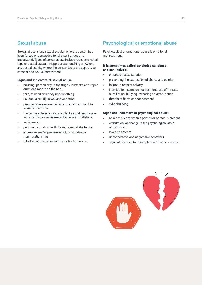## Sexual abuse

Sexual abuse is any sexual activity, where a person has been forced or persuaded to take part or does not understand. Types of sexual abuse include rape, attempted rape or sexual assault, inappropriate touching anywhere, any sexual activity where the person lacks the capacity to consent and sexual harassment.

#### **Signs and indicators of sexual abuse:**

- bruising, particularly to the thighs, buttocks and upper arms and marks on the neck
- torn, stained or bloody underclothing
- unusual difficulty in walking or sitting
- pregnancy in a woman who is unable to consent to sexual intercourse
- the uncharacteristic use of explicit sexual language or significant changes in sexual behaviour or attitude
- self-harming
- poor concentration, withdrawal, sleep disturbance
- excessive fear/apprehension of, or withdrawal from relationships
- reluctance to be alone with a particular person.

## Psychological or emotional abuse

Psychological or emotional abuse is emotional maltreatment.

#### **It is sometimes called psychological abuse and can include:**

- enforced social isolation
- preventing the expression of choice and opinion
- failure to respect privacy
- intimidation, coercion, harassment, use of threats, humiliation, bullying, swearing or verbal abuse
- threats of harm or abandonment
- cyber bullying.

#### **Signs and indicators of psychological abuse:**

- an air of silence when a particular person is present
- withdrawal or change in the psychological state of the person
- low self-esteem
- uncooperative and aggressive behaviour
- signs of distress, for example tearfulness or anger.

![](_page_12_Picture_28.jpeg)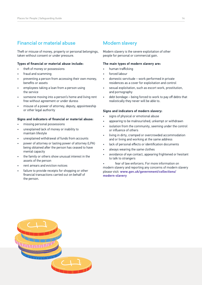## Financial or material abuse

Theft or misuse of money, property or personal belongings, taken without consent or under pressure.

#### **Types of financial or material abuse include:**

- theft of money or possessions
- fraud and scamming
- preventing a person from accessing their own money, benefits or assets
- employees taking a loan from a person using the service
- someone moving into a person's home and living rent free without agreement or under duress
- misuse of a power of attorney, deputy, appointeeship or other legal authority

#### **Signs and indicators of financial or material abuse:**

- missing personal possessions
- unexplained lack of money or inability to maintain lifestyle
- unexplained withdrawal of funds from accounts
- power of attorney or lasting power of attorney (LPA) being obtained after the person has ceased to have mental capacity
- the family or others show unusual interest in the assets of the person
- rent arrears and eviction notices
- failure to provide receipts for shopping or other financial transactions carried out on behalf of the person.

## Modern slavery

Modern slavery is the severe exploitation of other people for personal or commercial gain.

#### **The main types of modern slavery are:**

- human trafficking
- forced labour
- domestic servitude work performed in private residences as a cover for exploitation and control
- sexual exploitation, such as escort work, prostitution, and pornography
- debt bondage being forced to work to pay off debts that realistically they never will be able to.

#### **Signs and indicators of modern slavery:**

- signs of physical or emotional abuse
- appearing to be malnourished, unkempt or withdrawn
- isolation from the community, seeming under the control or influence of others
- living in dirty, cramped or overcrowded accommodation and or living and working at the same address
- lack of personal effects or identification documents
- always wearing the same clothes
- avoidance of eye contact, appearing frightened or hesitant to talk to strangers

fear of law enforcers. For more information on modern slavery and reporting any concerns of modern slavery please visit: **[www.gov.uk/government/collections/](http://www.gov.uk/government/collections/modern-slavery) [modern-slavery](http://www.gov.uk/government/collections/modern-slavery)**

![](_page_13_Picture_35.jpeg)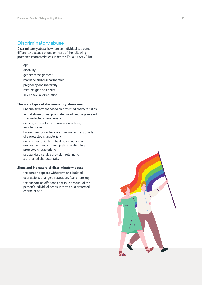## Discriminatory abuse

Discriminatory abuse is where an individual is treated differently because of one or more of the following protected characteristics (under the Equality Act 2010):

- age
- disability
- gender reassignment
- marriage and civil partnership
- pregnancy and maternity
- race, religion and belief
- sex or sexual orientation

#### **The main types of discriminatory abuse are:**

- unequal treatment based on protected characteristics.
- verbal abuse or inappropriate use of language related to a protected characteristic
- denying access to communication aids e.g. an interpreter
- harassment or deliberate exclusion on the grounds of a protected characteristic
- denying basic rights to healthcare, education, employment and criminal justice relating to a protected characteristic
- substandard service provision relating to a protected characteristic.

#### **Signs and indicators of discriminatory abuse:**

- the person appears withdrawn and isolated
- expressions of anger, frustration, fear or anxiety
- the support on offer does not take account of the person's individual needs in terms of a protected characteristic.

![](_page_14_Picture_21.jpeg)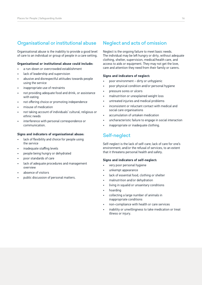## Organisational or institutional abuse

Organisational abuse is the inability to provide a good level of care to an individual or group of people in a care setting.

#### **Organisational or institutional abuse could include:**

- a run-down or overcrowded establishment
- lack of leadership and supervision
- abusive and disrespectful attitudes towards people using the service
- inappropriate use of restraints
- not providing adequate food and drink, or assistance with eating
- not offering choice or promoting independence
- misuse of medication
- not taking account of individuals' cultural, religious or ethnic needs
- interference with personal correspondence or communication.

#### **Signs and indicators of organisational abuse:**

- lack of flexibility and choice for people using the service
- inadequate staffing levels
- people being hungry or dehydrated
- poor standards of care
- lack of adequate procedures and management overview
- absence of visitors
- public discussion of personal matters.

## Neglect and acts of omission

Neglect is the ongoing failure to meet basic needs. The individual may be left hungry or dirty, without adequate clothing, shelter, supervision, medical/health care, and access to aids or equipment. They may not get the love, care and attention they need from their family or carers.

#### **Signs and indicators of neglect:**

- poor environment dirty or unhygienic
- poor physical condition and/or personal hygiene
- pressure sores or ulcers
- malnutrition or unexplained weight loss
- untreated injuries and medical problems
- inconsistent or reluctant contact with medical and social care organisations
- accumulation of untaken medication
- uncharacteristic failure to engage in social interaction
- inappropriate or inadequate clothing.

### Self-neglect

Self-neglect is the lack of self-care; lack of care for one's environment; and/or the refusal of services, to an extent that it threatens personal health and safety.

#### **Signs and indicators of self-neglect:**

- very poor personal hygiene
- unkempt appearance
- lack of essential food, clothing or shelter
- malnutrition and/or dehydration
- living in squalid or unsanitary conditions
- hoarding
- collecting a large number of animals in inappropriate conditions
- non-compliance with health or care services
- inability or unwillingness to take medication or treat illness or injury.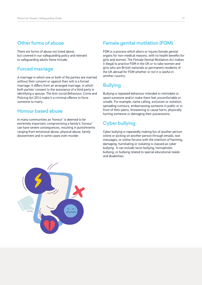## <span id="page-16-0"></span>Other forms of abuse

There are forms of abuse not listed above, but covered in our safeguarding policy and relevant to safeguarding adults these include:

### Forced marriage

A marriage in which one or both of the parties are married without their consent or against their will is a forced marriage. It differs from an arranged marriage, in which both parties' consent to the assistance of a third party in identifying a spouse. The Anti-social Behaviour, Crime and Policing Act 2014 make it a criminal offence to force someone to marry.

## Honour based abuse

In many communities an 'honour' is deemed to be extremely important; compromising a family's 'honour' can have severe consequences, resulting in punishments ranging from emotional abuse, physical abuse, family disownment and in some cases even murder.

## Female genital mutilation (FGM)

FGM is a process which alters or injures female genital organs for non-medical reasons, with no health benefits for girls and women. The Female Genital Mutilation Act makes it illegal to practice FGM in the UK or to take women and girls who are British nationals or permanent residents of the UK abroad for FGM whether or not it is lawful in another country.

## **Bullying**

Bullying is repeated behaviour intended to intimidate or upset someone and/or make them feel uncomfortable or unsafe. For example, name calling, exclusion or isolation, spreading rumours, embarrassing someone in public or in front of their peers, threatening to cause harm, physically hurting someone or damaging their possessions.

## Cyber bullying

Cyber bullying is repeatedly making fun of another person online or picking on another person through emails, text messages, or online forums with the intention of harming, damaging, humiliating or isolating is classed as cyber bullying. It can include racist bullying, homophobic bullying, or bullying related to special educational needs and disabilities.

![](_page_16_Picture_13.jpeg)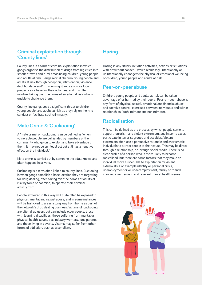## Criminal exploitation through 'County lines'

County lines is a form of criminal exploitation in which gangs organise the distribution of drugs from big cities into smaller towns and rural areas using children, young people and adults at risk. Gangs recruit children, young people and adults at risk through deception, intimidation, violence, debt bondage and/or grooming. Gangs also use local property as a base for their activities, and this often involves taking over the home of an adult at risk who is unable to challenge them.

County line gangs pose a significant threat to children, young people, and adults at risk as they rely on them to conduct or facilitate such criminality.

## Mate Crime & 'Cuckooing'

A 'mate crime' or 'cuckooing' can be defined as 'when vulnerable people are befriended by members of the community who go on to exploit and take advantage of them. It may not be an illegal act but still has a negative effect on the individual.'

Mate crime is carried out by someone the adult knows and often happens in private.

Cuckooing is a term often linked to county lines. Cuckooing is when gangs establish a base location they are targetting for drug dealing, often taking over the homes of adults at risk by force or coercion, to operate their criminal activity from.

People exploited in this way will quite often be exposed to physical, mental and sexual abuse, and in some instances will be trafficked to areas a long way from home as part of the network's drug dealing business. Victims of 'cuckooing' are often drug users but can include older people, those with learning disabilities, those suffering from mental or physical health issues, sex industry workers, lone parents and those living in poverty. Victims may suffer from other forms of addiction, such as alcoholism.

## **Hazing**

Hazing is any rituals, initiation activities, actions or situations, with or without consent, which recklessly, intentionally or unintentionally endangers the physical or emotional wellbeing of children, young people and adults at risk.

### Peer-on-peer abuse

Children, young people and adults at risk can be taken advantage of or harmed by their peers. Peer-on-peer abuse is any form of physical, sexual, emotional and financial abuse, and coercive control, exercised between individuals and within relationships (both intimate and nonintimate).

## Radicalisation

This can be defined as the process by which people come to support terrorism and violent extremism, and in some cases participate in terrorist groups and activities. Violent extremists often use a persuasive rationale and charismatic individuals to attract people to their cause. This may be direct through a relationship, or through social media. There is no clear profile of a person who is more likely to become radicalised, but there are some factors that may make an individual more susceptible to exploitation by violent extremists. For example identity or personal crisis, unemployment or or underemployment, family or friends involved in extremism and relevant mental health issues.

![](_page_17_Picture_15.jpeg)